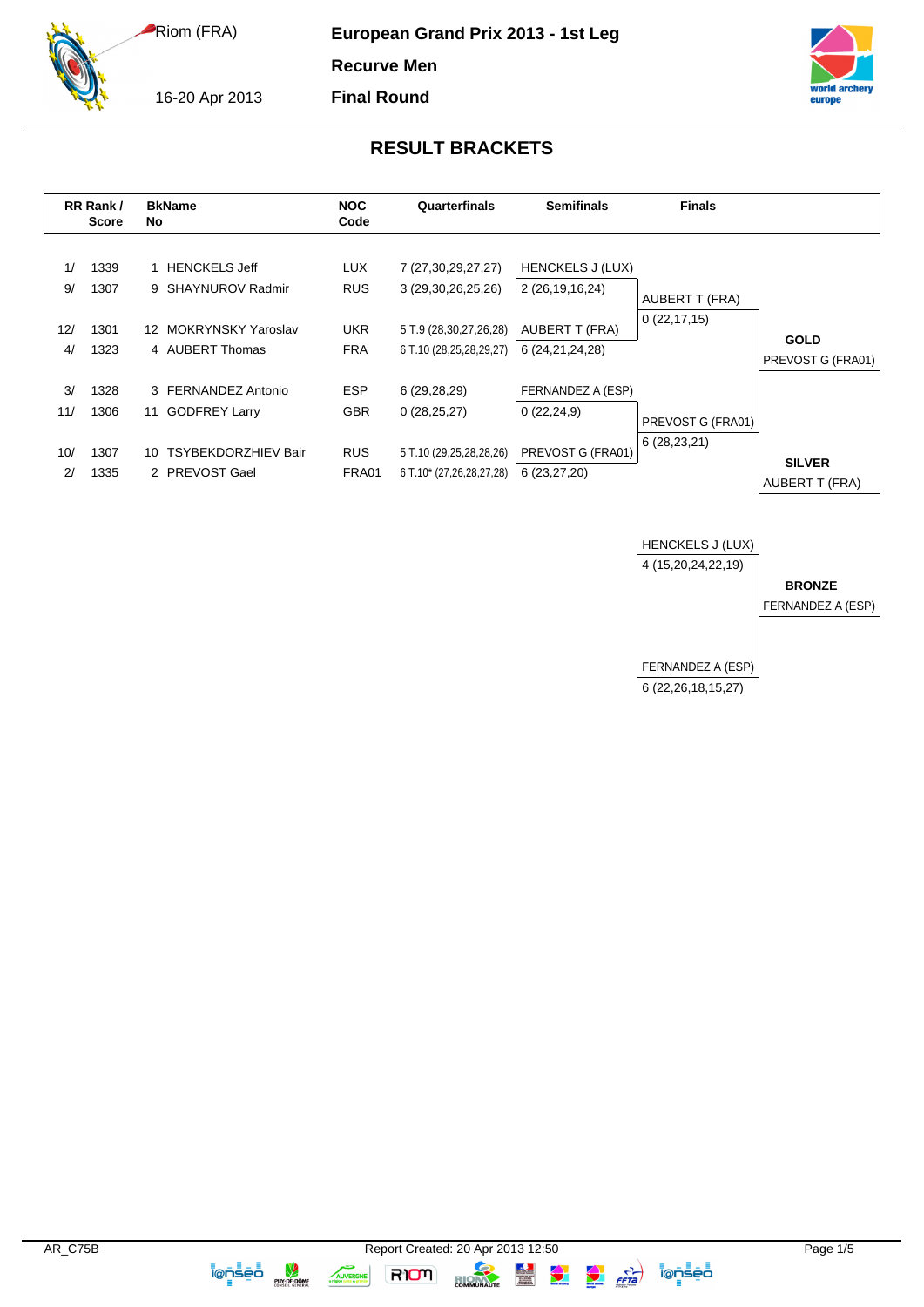16-20 Apr 2013

**European Grand Prix 2013 - 1st Leg**

**Recurve Men**

**Final Round**



## **RESULT BRACKETS**

|           | RR Rank/<br><b>Score</b> | <b>BkName</b><br>No                               | <b>NOC</b><br>Code       | Quarterfinals                                       | <b>Semifinals</b>                          | <b>Finals</b>     |                                  |
|-----------|--------------------------|---------------------------------------------------|--------------------------|-----------------------------------------------------|--------------------------------------------|-------------------|----------------------------------|
| 1/<br>9/  | 1339<br>1307             | <b>HENCKELS Jeff</b><br>9 SHAYNUROV Radmir        | <b>LUX</b><br><b>RUS</b> | 7 (27,30,29,27,27)<br>3 (29, 30, 26, 25, 26)        | <b>HENCKELS J (LUX)</b><br>2 (26,19,16,24) | AUBERT T (FRA)    |                                  |
| 12/<br>4/ | 1301<br>1323             | 12 MOKRYNSKY Yaroslav<br>4 AUBERT Thomas          | <b>UKR</b><br><b>FRA</b> | 5 T.9 (28,30,27,26,28)<br>6 T.10 (28,25,28,29,27)   | AUBERT T (FRA)<br>6 (24, 21, 24, 28)       | 0(22, 17, 15)     | <b>GOLD</b><br>PREVOST G (FRA01) |
| 3/<br>11/ | 1328<br>1306             | 3 FERNANDEZ Antonio<br><b>GODFREY Larry</b><br>11 | <b>ESP</b><br><b>GBR</b> | 6 (29,28,29)<br>0(28, 25, 27)                       | FERNANDEZ A (ESP)<br>0(22, 24, 9)          | PREVOST G (FRA01) |                                  |
| 10/<br>2/ | 1307<br>1335             | 10 TSYBEKDORZHIEV Bair<br>2 PREVOST Gael          | <b>RUS</b><br>FRA01      | 5 T.10 (29,25,28,28,26)<br>6 T.10* (27,26,28,27,28) | PREVOST G (FRA01)<br>6(23, 27, 20)         | 6(28, 23, 21)     | <b>SILVER</b><br>AUBERT T (FRA)  |



RION

AUVERGNE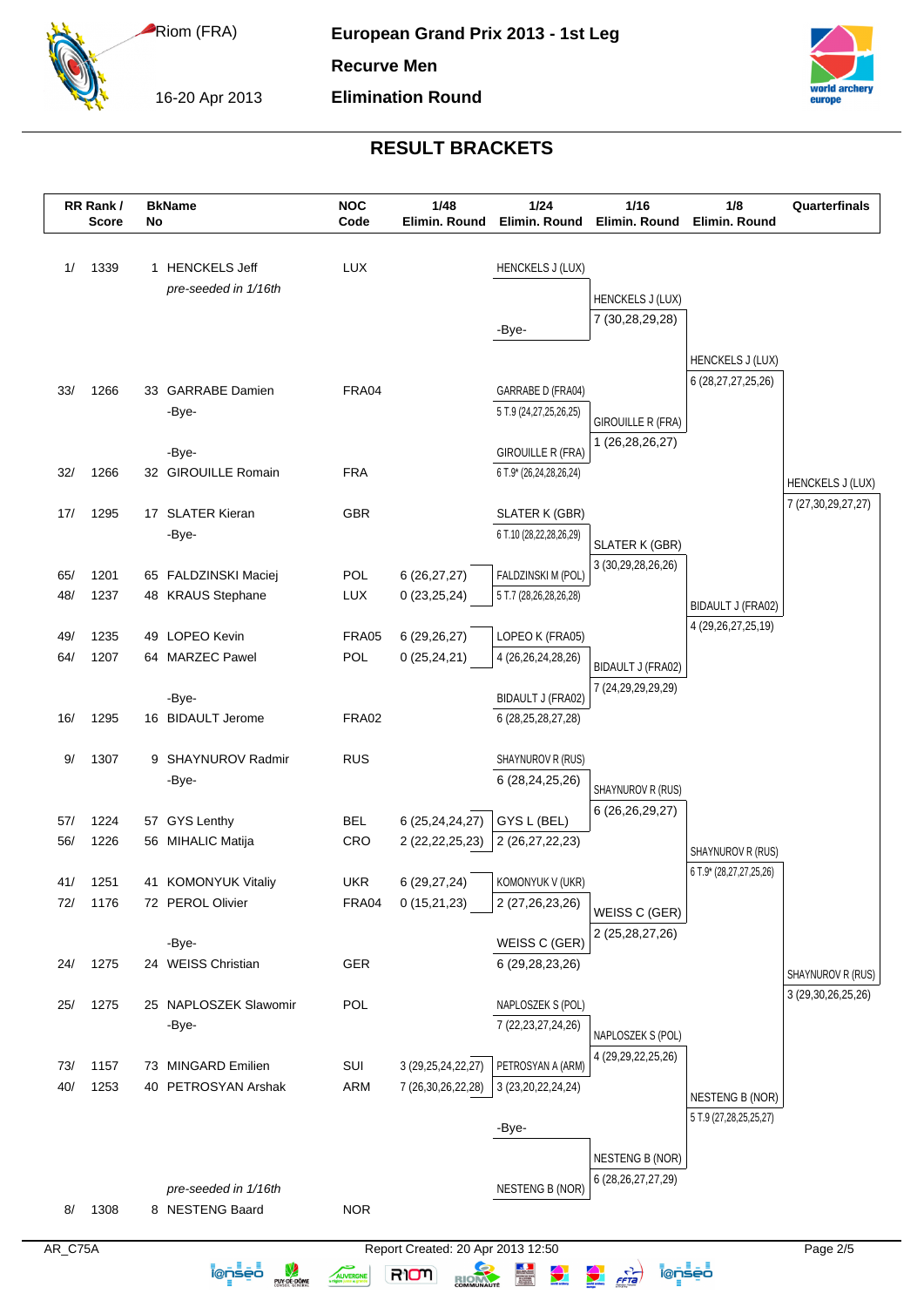16-20 Apr 2013

**Recurve Men**

**Elimination Round**



# **RESULT BRACKETS**

|         | RR Rank/<br><b>Score</b> | No | <b>BkName</b>         | <b>NOC</b><br>Code | 1/48<br>Elimin. Round             | $1/24$<br>Elimin. Round  | 1/16<br>Elimin. Round                                                                                                                                                                                                                                                                                                                                                                                                                             | 1/8<br>Elimin. Round       | Quarterfinals           |
|---------|--------------------------|----|-----------------------|--------------------|-----------------------------------|--------------------------|---------------------------------------------------------------------------------------------------------------------------------------------------------------------------------------------------------------------------------------------------------------------------------------------------------------------------------------------------------------------------------------------------------------------------------------------------|----------------------------|-------------------------|
|         |                          |    |                       |                    |                                   |                          |                                                                                                                                                                                                                                                                                                                                                                                                                                                   |                            |                         |
| 1/      | 1339                     |    | 1 HENCKELS Jeff       | <b>LUX</b>         |                                   | <b>HENCKELS J (LUX)</b>  |                                                                                                                                                                                                                                                                                                                                                                                                                                                   |                            |                         |
|         |                          |    | pre-seeded in 1/16th  |                    |                                   |                          | <b>HENCKELS J (LUX)</b>                                                                                                                                                                                                                                                                                                                                                                                                                           |                            |                         |
|         |                          |    |                       |                    |                                   | -Bye-                    | 7 (30,28,29,28)                                                                                                                                                                                                                                                                                                                                                                                                                                   |                            |                         |
|         |                          |    |                       |                    |                                   |                          |                                                                                                                                                                                                                                                                                                                                                                                                                                                   |                            |                         |
|         |                          |    |                       |                    |                                   |                          |                                                                                                                                                                                                                                                                                                                                                                                                                                                   | HENCKELS J (LUX)           |                         |
| 33/     | 1266                     |    | 33 GARRABE Damien     | FRA04              |                                   | GARRABE D (FRA04)        |                                                                                                                                                                                                                                                                                                                                                                                                                                                   | 6 (28, 27, 27, 25, 26)     |                         |
|         |                          |    | -Bye-                 |                    |                                   | 5 T.9 (24,27,25,26,25)   |                                                                                                                                                                                                                                                                                                                                                                                                                                                   |                            |                         |
|         |                          |    |                       |                    |                                   |                          | <b>GIROUILLE R (FRA)</b><br>1 (26,28,26,27)                                                                                                                                                                                                                                                                                                                                                                                                       |                            |                         |
|         |                          |    | -Bye-                 |                    |                                   | <b>GIROUILLE R (FRA)</b> |                                                                                                                                                                                                                                                                                                                                                                                                                                                   |                            |                         |
| 32/     | 1266                     |    | 32 GIROUILLE Romain   | <b>FRA</b>         |                                   | 6 T.9* (26,24,28,26,24)  |                                                                                                                                                                                                                                                                                                                                                                                                                                                   |                            | <b>HENCKELS J (LUX)</b> |
|         |                          |    |                       |                    |                                   |                          |                                                                                                                                                                                                                                                                                                                                                                                                                                                   |                            | 7 (27,30,29,27,27)      |
| 17/     | 1295                     |    | 17 SLATER Kieran      | <b>GBR</b>         |                                   | SLATER K (GBR)           |                                                                                                                                                                                                                                                                                                                                                                                                                                                   |                            |                         |
|         |                          |    | -Bye-                 |                    |                                   | 6 T.10 (28,22,28,26,29)  | SLATER K (GBR)                                                                                                                                                                                                                                                                                                                                                                                                                                    |                            |                         |
| 65/     | 1201                     |    | 65 FALDZINSKI Maciej  | POL                | 6 (26,27,27)                      | FALDZINSKI M (POL)       | 3 (30,29,28,26,26)                                                                                                                                                                                                                                                                                                                                                                                                                                |                            |                         |
| 48/     | 1237                     |    | 48 KRAUS Stephane     | LUX                | 0(23,25,24)                       | 5 T.7 (28,26,28,26,28)   |                                                                                                                                                                                                                                                                                                                                                                                                                                                   |                            |                         |
|         |                          |    |                       |                    |                                   |                          |                                                                                                                                                                                                                                                                                                                                                                                                                                                   | BIDAULT J (FRA02)          |                         |
| 49/     | 1235                     |    | 49 LOPEO Kevin        | <b>FRA05</b>       | 6 (29,26,27)                      | LOPEO K (FRA05)          |                                                                                                                                                                                                                                                                                                                                                                                                                                                   | 4 (29, 26, 27, 25, 19)     |                         |
| 64/     | 1207                     |    | 64 MARZEC Pawel       | POL                | 0(25, 24, 21)                     | 4 (26,26,24,28,26)       |                                                                                                                                                                                                                                                                                                                                                                                                                                                   |                            |                         |
|         |                          |    |                       |                    |                                   |                          | BIDAULT J (FRA02)                                                                                                                                                                                                                                                                                                                                                                                                                                 |                            |                         |
|         |                          |    | -Bye-                 |                    |                                   | BIDAULT J (FRA02)        | 7 (24, 29, 29, 29, 29)                                                                                                                                                                                                                                                                                                                                                                                                                            |                            |                         |
| 16/     | 1295                     |    | 16 BIDAULT Jerome     | <b>FRA02</b>       |                                   | 6 (28, 25, 28, 27, 28)   |                                                                                                                                                                                                                                                                                                                                                                                                                                                   |                            |                         |
| 9/      | 1307                     |    | 9 SHAYNUROV Radmir    | <b>RUS</b>         |                                   | SHAYNUROV R (RUS)        |                                                                                                                                                                                                                                                                                                                                                                                                                                                   |                            |                         |
|         |                          |    | -Bye-                 |                    |                                   | 6 (28,24,25,26)          |                                                                                                                                                                                                                                                                                                                                                                                                                                                   |                            |                         |
|         |                          |    |                       |                    |                                   |                          | SHAYNUROV R (RUS)                                                                                                                                                                                                                                                                                                                                                                                                                                 |                            |                         |
| 57/     | 1224                     |    | 57 GYS Lenthy         | <b>BEL</b>         | 6 (25,24,24,27)                   | GYS L (BEL)              | 6 (26,26,29,27)                                                                                                                                                                                                                                                                                                                                                                                                                                   |                            |                         |
| 56/     | 1226                     |    | 56 MIHALIC Matija     | <b>CRO</b>         | 2 (22, 22, 25, 23)                | 2 (26,27,22,23)          |                                                                                                                                                                                                                                                                                                                                                                                                                                                   | SHAYNUROV R (RUS)          |                         |
|         |                          |    |                       |                    |                                   |                          |                                                                                                                                                                                                                                                                                                                                                                                                                                                   | 6 T.9* (28,27,27,25,26)    |                         |
| 41/     | 1251                     |    | 41 KOMONYUK Vitaliy   | <b>UKR</b>         | 6 (29, 27, 24)                    | KOMONYUK V (UKR)         |                                                                                                                                                                                                                                                                                                                                                                                                                                                   |                            |                         |
| 72/     | 1176                     |    | 72 PEROL Olivier      | FRA04              | 0(15,21,23)                       | 2 (27,26,23,26)          | WEISS C (GER)                                                                                                                                                                                                                                                                                                                                                                                                                                     |                            |                         |
|         |                          |    | -Bye-                 |                    |                                   | WEISS C (GER)            | 2 (25,28,27,26)                                                                                                                                                                                                                                                                                                                                                                                                                                   |                            |                         |
| 24/     | 1275                     |    | 24 WEISS Christian    | GER                |                                   | 6 (29,28,23,26)          |                                                                                                                                                                                                                                                                                                                                                                                                                                                   |                            |                         |
|         |                          |    |                       |                    |                                   |                          |                                                                                                                                                                                                                                                                                                                                                                                                                                                   |                            | SHAYNUROV R (RUS)       |
| 25/     | 1275                     |    | 25 NAPLOSZEK Slawomir | POL                |                                   | NAPLOSZEK S (POL)        |                                                                                                                                                                                                                                                                                                                                                                                                                                                   |                            | 3 (29, 30, 26, 25, 26)  |
|         |                          |    | -Bye-                 |                    |                                   | 7 (22, 23, 27, 24, 26)   |                                                                                                                                                                                                                                                                                                                                                                                                                                                   |                            |                         |
|         |                          |    |                       |                    |                                   |                          | NAPLOSZEK S (POL)                                                                                                                                                                                                                                                                                                                                                                                                                                 |                            |                         |
| 73/     | 1157                     |    | 73 MINGARD Emilien    | SUI                | 3 (29, 25, 24, 22, 27)            | PETROSYAN A (ARM)        | 4 (29, 29, 22, 25, 26)                                                                                                                                                                                                                                                                                                                                                                                                                            |                            |                         |
| 40/     | 1253                     |    | 40 PETROSYAN Arshak   | ARM                | 7 (26,30,26,22,28)                | 3 (23, 20, 22, 24, 24)   |                                                                                                                                                                                                                                                                                                                                                                                                                                                   | <b>NESTENG B (NOR)</b>     |                         |
|         |                          |    |                       |                    |                                   |                          |                                                                                                                                                                                                                                                                                                                                                                                                                                                   | 5 T.9 (27, 28, 25, 25, 27) |                         |
|         |                          |    |                       |                    |                                   | -Bye-                    |                                                                                                                                                                                                                                                                                                                                                                                                                                                   |                            |                         |
|         |                          |    |                       |                    |                                   |                          | <b>NESTENG B (NOR)</b>                                                                                                                                                                                                                                                                                                                                                                                                                            |                            |                         |
|         |                          |    |                       |                    |                                   |                          | 6 (28, 26, 27, 27, 29)                                                                                                                                                                                                                                                                                                                                                                                                                            |                            |                         |
|         |                          |    | pre-seeded in 1/16th  |                    |                                   | <b>NESTENG B (NOR)</b>   |                                                                                                                                                                                                                                                                                                                                                                                                                                                   |                            |                         |
| 8/      | 1308                     |    | 8 NESTENG Baard       | <b>NOR</b>         |                                   |                          |                                                                                                                                                                                                                                                                                                                                                                                                                                                   |                            |                         |
| AR_C75A |                          |    |                       |                    | Report Created: 20 Apr 2013 12:50 |                          |                                                                                                                                                                                                                                                                                                                                                                                                                                                   |                            | Page 2/5                |
|         |                          |    | <u> Īensēā</u>        | AUVERGNE           | RIOM                              | $\bigodot$               | $\frac{1}{\sqrt{1-\frac{1}{2}}\sqrt{1-\frac{1}{2}}\sqrt{1-\frac{1}{2}}\sqrt{1-\frac{1}{2}}\sqrt{\frac{1}{2}}\sqrt{\frac{1}{2}}\sqrt{\frac{1}{2}}\sqrt{\frac{1}{2}}\sqrt{\frac{1}{2}}\sqrt{\frac{1}{2}}\sqrt{\frac{1}{2}}\sqrt{\frac{1}{2}}\sqrt{\frac{1}{2}}\sqrt{\frac{1}{2}}\sqrt{\frac{1}{2}}\sqrt{\frac{1}{2}}\sqrt{\frac{1}{2}}\sqrt{\frac{1}{2}}\sqrt{\frac{1}{2}}\sqrt{\frac{1}{2}}\sqrt{\frac{1}{2}}\sqrt{\frac{1}{2}}\sqrt{\frac{1}{2}}$ | ienseo                     |                         |
|         |                          |    | <b>PUY-DE-DÔME</b>    |                    | RIOM                              |                          |                                                                                                                                                                                                                                                                                                                                                                                                                                                   |                            |                         |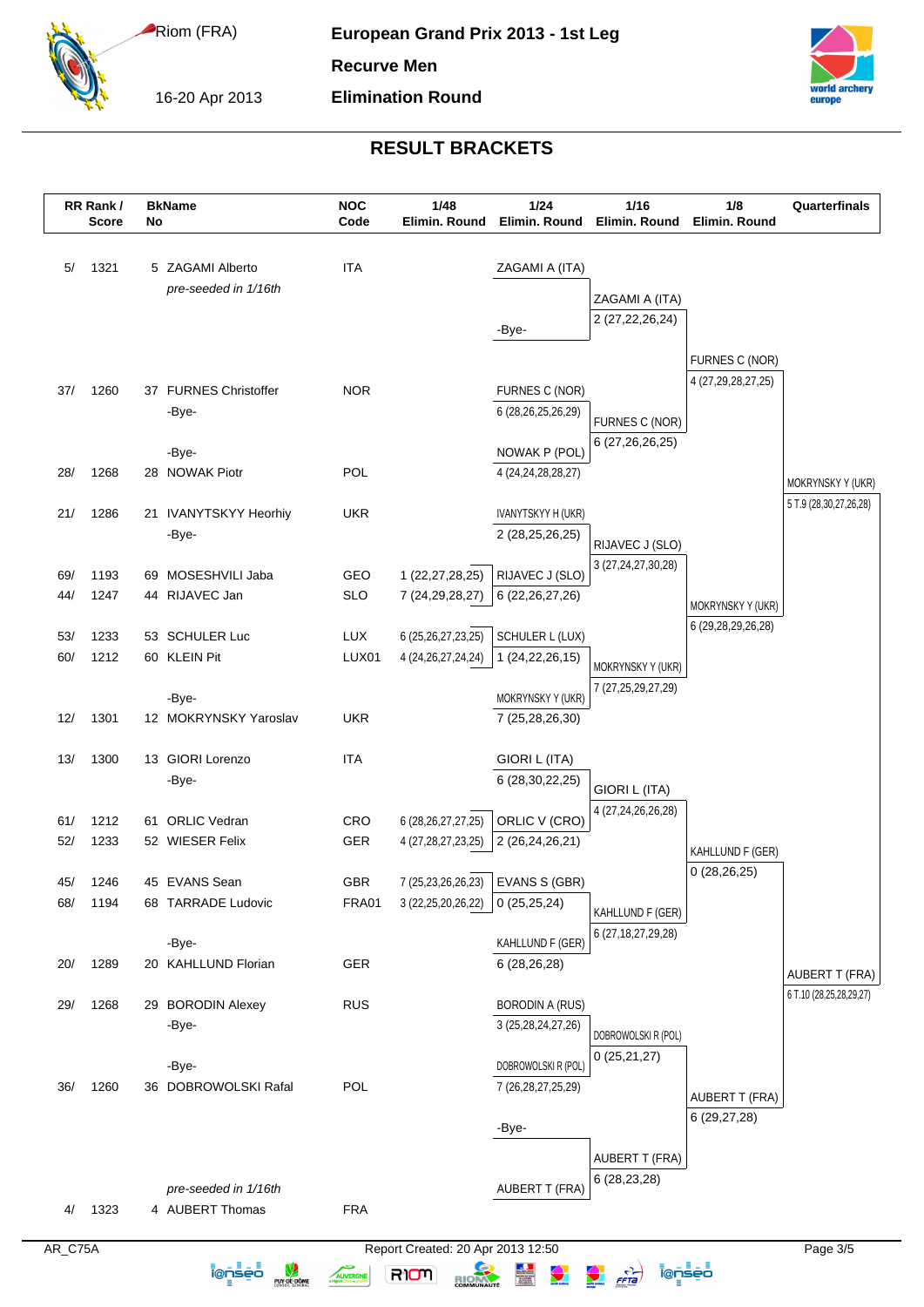16-20 Apr 2013

**Recurve Men**

**Elimination Round**



# **RESULT BRACKETS**

|              | RR Rank/<br><b>Score</b> | No | <b>BkName</b>                 | <b>NOC</b><br>Code | 1/48<br>Elimin. Round             | 1/24<br>Elimin. Round                   | 1/16<br>Elimin. Round                                                                                                                                                                                                                                                                                                                                                                                                                             | 1/8<br>Elimin. Round                 | Quarterfinals                                    |
|--------------|--------------------------|----|-------------------------------|--------------------|-----------------------------------|-----------------------------------------|---------------------------------------------------------------------------------------------------------------------------------------------------------------------------------------------------------------------------------------------------------------------------------------------------------------------------------------------------------------------------------------------------------------------------------------------------|--------------------------------------|--------------------------------------------------|
| 5/           | 1321                     |    | 5 ZAGAMI Alberto              | <b>ITA</b>         |                                   |                                         |                                                                                                                                                                                                                                                                                                                                                                                                                                                   |                                      |                                                  |
|              |                          |    | pre-seeded in 1/16th          |                    |                                   | ZAGAMI A (ITA)                          |                                                                                                                                                                                                                                                                                                                                                                                                                                                   |                                      |                                                  |
|              |                          |    |                               |                    |                                   |                                         | ZAGAMI A (ITA)                                                                                                                                                                                                                                                                                                                                                                                                                                    |                                      |                                                  |
|              |                          |    |                               |                    |                                   | -Bye-                                   | 2 (27, 22, 26, 24)                                                                                                                                                                                                                                                                                                                                                                                                                                |                                      |                                                  |
|              |                          |    |                               |                    |                                   |                                         |                                                                                                                                                                                                                                                                                                                                                                                                                                                   |                                      |                                                  |
|              |                          |    |                               |                    |                                   |                                         |                                                                                                                                                                                                                                                                                                                                                                                                                                                   | FURNES C (NOR)<br>4 (27,29,28,27,25) |                                                  |
| 37/          | 1260                     |    | 37 FURNES Christoffer         | <b>NOR</b>         |                                   | FURNES C (NOR)                          |                                                                                                                                                                                                                                                                                                                                                                                                                                                   |                                      |                                                  |
|              |                          |    | -Bye-                         |                    |                                   | 6 (28,26,25,26,29)                      | FURNES C (NOR)                                                                                                                                                                                                                                                                                                                                                                                                                                    |                                      |                                                  |
|              |                          |    |                               |                    |                                   |                                         | 6 (27,26,26,25)                                                                                                                                                                                                                                                                                                                                                                                                                                   |                                      |                                                  |
| 28/          | 1268                     |    | -Bye-<br>28 NOWAK Piotr       | POL                |                                   | NOWAK P (POL)<br>4 (24, 24, 28, 28, 27) |                                                                                                                                                                                                                                                                                                                                                                                                                                                   |                                      |                                                  |
|              |                          |    |                               |                    |                                   |                                         |                                                                                                                                                                                                                                                                                                                                                                                                                                                   |                                      | MOKRYNSKY Y (UKR)                                |
| 21/          | 1286                     |    | 21 IVANYTSKYY Heorhiy         | <b>UKR</b>         |                                   | IVANYTSKYY H (UKR)                      |                                                                                                                                                                                                                                                                                                                                                                                                                                                   |                                      | 5 T.9 (28,30,27,26,28)                           |
|              |                          |    | -Bye-                         |                    |                                   | 2 (28,25,26,25)                         |                                                                                                                                                                                                                                                                                                                                                                                                                                                   |                                      |                                                  |
|              |                          |    |                               |                    |                                   |                                         | RIJAVEC J (SLO)                                                                                                                                                                                                                                                                                                                                                                                                                                   |                                      |                                                  |
| 69/          | 1193                     |    | 69 MOSESHVILI Jaba            | GEO                | 1 (22,27,28,25)                   | RIJAVEC J (SLO)                         | 3 (27,24,27,30,28)                                                                                                                                                                                                                                                                                                                                                                                                                                |                                      |                                                  |
| 44/          | 1247                     |    | 44 RIJAVEC Jan                | <b>SLO</b>         | 7 (24, 29, 28, 27)                | 6 (22, 26, 27, 26)                      |                                                                                                                                                                                                                                                                                                                                                                                                                                                   | MOKRYNSKY Y (UKR)                    |                                                  |
|              |                          |    |                               |                    |                                   |                                         |                                                                                                                                                                                                                                                                                                                                                                                                                                                   | 6 (29, 28, 29, 26, 28)               |                                                  |
| 53/          | 1233                     |    | 53 SCHULER Luc                | <b>LUX</b>         | 6 (25, 26, 27, 23, 25)            | SCHULER L (LUX)                         |                                                                                                                                                                                                                                                                                                                                                                                                                                                   |                                      |                                                  |
| 60/          | 1212                     |    | 60 KLEIN Pit                  | LUX01              | 4 (24, 26, 27, 24, 24)            | 1 (24, 22, 26, 15)                      | MOKRYNSKY Y (UKR)                                                                                                                                                                                                                                                                                                                                                                                                                                 |                                      |                                                  |
|              |                          |    | -Bye-                         |                    |                                   | MOKRYNSKY Y (UKR)                       | 7 (27, 25, 29, 27, 29)                                                                                                                                                                                                                                                                                                                                                                                                                            |                                      |                                                  |
| 12/          | 1301                     |    | 12 MOKRYNSKY Yaroslav         | <b>UKR</b>         |                                   | 7 (25,28,26,30)                         |                                                                                                                                                                                                                                                                                                                                                                                                                                                   |                                      |                                                  |
|              |                          |    |                               |                    |                                   |                                         |                                                                                                                                                                                                                                                                                                                                                                                                                                                   |                                      |                                                  |
| 13/          | 1300                     |    | 13 GIORI Lorenzo              | <b>ITA</b>         |                                   | GIORI L (ITA)                           |                                                                                                                                                                                                                                                                                                                                                                                                                                                   |                                      |                                                  |
|              |                          |    | -Bye-                         |                    |                                   | 6 (28, 30, 22, 25)                      | GIORI L (ITA)                                                                                                                                                                                                                                                                                                                                                                                                                                     |                                      |                                                  |
|              |                          |    |                               |                    |                                   |                                         | 4 (27,24,26,26,28)                                                                                                                                                                                                                                                                                                                                                                                                                                |                                      |                                                  |
| 61/          | 1212                     |    | 61 ORLIC Vedran               | CRO                | 6 (28, 26, 27, 27, 25)            | ORLIC V (CRO)                           |                                                                                                                                                                                                                                                                                                                                                                                                                                                   |                                      |                                                  |
| 52/          | 1233                     |    | 52 WIESER Felix               | GER                | 4 (27,28,27,23,25)                | 2 (26,24,26,21)                         |                                                                                                                                                                                                                                                                                                                                                                                                                                                   | KAHLLUND F (GER)                     |                                                  |
| 45/          | 1246                     |    | 45 EVANS Sean                 | GBR                | 7 (25,23,26,26,23)                | EVANS S (GBR)                           |                                                                                                                                                                                                                                                                                                                                                                                                                                                   | 0(28, 26, 25)                        |                                                  |
| 68/          | 1194                     |    | 68 TARRADE Ludovic            | FRA01              | 3 (22, 25, 20, 26, 22)            | 0(25,25,24)                             |                                                                                                                                                                                                                                                                                                                                                                                                                                                   |                                      |                                                  |
|              |                          |    |                               |                    |                                   |                                         | KAHLLUND F (GER)                                                                                                                                                                                                                                                                                                                                                                                                                                  |                                      |                                                  |
|              |                          |    | -Bye-                         |                    |                                   | KAHLLUND F (GER)                        | 6 (27, 18, 27, 29, 28)                                                                                                                                                                                                                                                                                                                                                                                                                            |                                      |                                                  |
| 20/          | 1289                     |    | 20 KAHLLUND Florian           | <b>GER</b>         |                                   | 6(28, 26, 28)                           |                                                                                                                                                                                                                                                                                                                                                                                                                                                   |                                      |                                                  |
|              |                          |    |                               |                    |                                   |                                         |                                                                                                                                                                                                                                                                                                                                                                                                                                                   |                                      | <b>AUBERT T (FRA)</b><br>6 T.10 (28,25,28,29,27) |
| 29/          | 1268                     |    | 29 BORODIN Alexey             | <b>RUS</b>         |                                   | <b>BORODIN A (RUS)</b>                  |                                                                                                                                                                                                                                                                                                                                                                                                                                                   |                                      |                                                  |
|              |                          |    | -Bye-                         |                    |                                   | 3 (25, 28, 24, 27, 26)                  | DOBROWOLSKI R (POL)                                                                                                                                                                                                                                                                                                                                                                                                                               |                                      |                                                  |
|              |                          |    |                               |                    |                                   |                                         | 0(25,21,27)                                                                                                                                                                                                                                                                                                                                                                                                                                       |                                      |                                                  |
|              | 1260                     |    | -Bye-<br>36 DOBROWOLSKI Rafal | POL                |                                   | DOBROWOLSKI R (POL)                     |                                                                                                                                                                                                                                                                                                                                                                                                                                                   |                                      |                                                  |
| 36/          |                          |    |                               |                    |                                   | 7 (26, 28, 27, 25, 29)                  |                                                                                                                                                                                                                                                                                                                                                                                                                                                   | <b>AUBERT T (FRA)</b>                |                                                  |
|              |                          |    |                               |                    |                                   | -Bye-                                   |                                                                                                                                                                                                                                                                                                                                                                                                                                                   | 6 (29,27,28)                         |                                                  |
|              |                          |    |                               |                    |                                   |                                         |                                                                                                                                                                                                                                                                                                                                                                                                                                                   |                                      |                                                  |
|              |                          |    |                               |                    |                                   |                                         | <b>AUBERT T (FRA)</b>                                                                                                                                                                                                                                                                                                                                                                                                                             |                                      |                                                  |
|              |                          |    | pre-seeded in 1/16th          |                    |                                   | <b>AUBERT T (FRA)</b>                   | 6 (28,23,28)                                                                                                                                                                                                                                                                                                                                                                                                                                      |                                      |                                                  |
| 4/           | 1323                     |    | 4 AUBERT Thomas               | <b>FRA</b>         |                                   |                                         |                                                                                                                                                                                                                                                                                                                                                                                                                                                   |                                      |                                                  |
|              |                          |    |                               |                    |                                   |                                         |                                                                                                                                                                                                                                                                                                                                                                                                                                                   |                                      |                                                  |
| $AR_C$ $75A$ |                          |    |                               |                    | Report Created: 20 Apr 2013 12:50 |                                         |                                                                                                                                                                                                                                                                                                                                                                                                                                                   |                                      | Page 3/5                                         |
|              |                          |    | <u>ienseo</u><br>PUY-DE-DÔME  | AUVERGNE           | RIOM<br>RIOM                      | <u>a</u>                                | $\frac{1}{\sqrt{1-\frac{1}{2}}\sqrt{1-\frac{1}{2}}\sqrt{1-\frac{1}{2}}\sqrt{1-\frac{1}{2}}\sqrt{\frac{1}{2}}\sqrt{\frac{1}{2}}\sqrt{\frac{1}{2}}\sqrt{\frac{1}{2}}\sqrt{\frac{1}{2}}\sqrt{\frac{1}{2}}\sqrt{\frac{1}{2}}\sqrt{\frac{1}{2}}\sqrt{\frac{1}{2}}\sqrt{\frac{1}{2}}\sqrt{\frac{1}{2}}\sqrt{\frac{1}{2}}\sqrt{\frac{1}{2}}\sqrt{\frac{1}{2}}\sqrt{\frac{1}{2}}\sqrt{\frac{1}{2}}\sqrt{\frac{1}{2}}\sqrt{\frac{1}{2}}\sqrt{\frac{1}{2}}$ | ionseo                               |                                                  |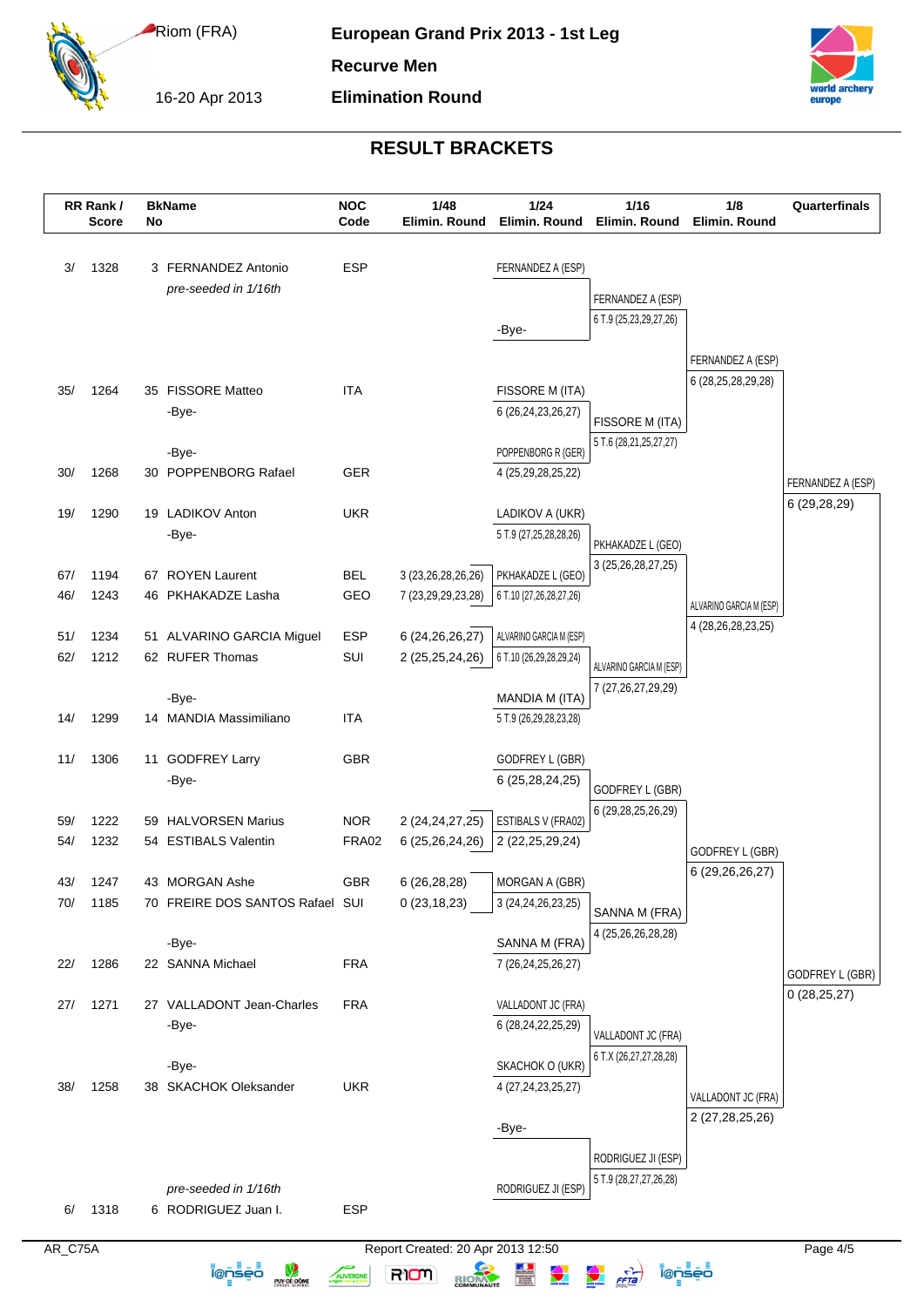16-20 Apr 2013

**Recurve Men**

**Elimination Round**



# **RESULT BRACKETS**

|         | RR Rank/<br><b>Score</b> | No | <b>BkName</b>                      | <b>NOC</b><br>Code | 1/48<br>Elimin. Round             | 1/24<br>Elimin. Round                        | 1/16<br>Elimin. Round                        | 1/8<br>Elimin. Round                  | Quarterfinals     |
|---------|--------------------------|----|------------------------------------|--------------------|-----------------------------------|----------------------------------------------|----------------------------------------------|---------------------------------------|-------------------|
| 3/      | 1328                     |    | 3 FERNANDEZ Antonio                | ESP                |                                   | FERNANDEZ A (ESP)                            |                                              |                                       |                   |
|         |                          |    | pre-seeded in 1/16th               |                    |                                   |                                              | FERNANDEZ A (ESP)                            |                                       |                   |
|         |                          |    |                                    |                    |                                   | -Bye-                                        | 6 T.9 (25,23,29,27,26)                       |                                       |                   |
|         |                          |    |                                    |                    |                                   |                                              |                                              | FERNANDEZ A (ESP)                     |                   |
|         |                          |    |                                    |                    |                                   |                                              |                                              | 6 (28, 25, 28, 29, 28)                |                   |
| 35/     | 1264                     |    | 35 FISSORE Matteo<br>-Bye-         | <b>ITA</b>         |                                   | FISSORE M (ITA)<br>6 (26,24,23,26,27)        |                                              |                                       |                   |
|         |                          |    |                                    |                    |                                   |                                              | FISSORE M (ITA)                              |                                       |                   |
|         |                          |    | -Bye-                              |                    |                                   | POPPENBORG R (GER)                           | 5 T.6 (28,21,25,27,27)                       |                                       |                   |
| 30/     | 1268                     |    | 30 POPPENBORG Rafael               | GER                |                                   | 4 (25, 29, 28, 25, 22)                       |                                              |                                       | FERNANDEZ A (ESP) |
| 19/     | 1290                     |    | 19 LADIKOV Anton                   | <b>UKR</b>         |                                   | LADIKOV A (UKR)                              |                                              |                                       | 6 (29,28,29)      |
|         |                          |    | -Bye-                              |                    |                                   | 5 T.9 (27,25,28,28,26)                       |                                              |                                       |                   |
|         |                          |    |                                    |                    |                                   |                                              | PKHAKADZE L (GEO)<br>3 (25, 26, 28, 27, 25)  |                                       |                   |
| 67/     | 1194                     |    | 67 ROYEN Laurent                   | <b>BEL</b>         | 3 (23,26,28,26,26)                | PKHAKADZE L (GEO)                            |                                              |                                       |                   |
| 46/     | 1243                     |    | 46 PKHAKADZE Lasha                 | GEO                | 7 (23,29,29,23,28)                | 6 T.10 (27,26,28,27,26)                      |                                              | ALVARINO GARCIA M (ESP)               |                   |
| 51/     | 1234                     |    | 51 ALVARINO GARCIA Miguel          | <b>ESP</b>         | 6 (24, 26, 26, 27)                | ALVARINO GARCIA M (ESP)                      |                                              | 4 (28, 26, 28, 23, 25)                |                   |
| 62/     | 1212                     |    | 62 RUFER Thomas                    | SUI                | 2 (25,25,24,26)                   | 6 T.10 (26,29,28,29,24)                      | ALVARINO GARCIA M (ESP)                      |                                       |                   |
|         |                          |    |                                    |                    |                                   |                                              | 7 (27,26,27,29,29)                           |                                       |                   |
| 14/     | 1299                     |    | -Bye-<br>14 MANDIA Massimiliano    | <b>ITA</b>         |                                   | MANDIA M (ITA)<br>5 T.9 (26,29,28,23,28)     |                                              |                                       |                   |
|         |                          |    |                                    |                    |                                   |                                              |                                              |                                       |                   |
| 11/     | 1306                     |    | 11 GODFREY Larry                   | <b>GBR</b>         |                                   | GODFREY L (GBR)                              |                                              |                                       |                   |
|         |                          |    | -Bye-                              |                    |                                   | 6 (25,28,24,25)                              | GODFREY L (GBR)                              |                                       |                   |
| 59/     | 1222                     |    | 59 HALVORSEN Marius                | <b>NOR</b>         | 2 (24, 24, 27, 25)                | ESTIBALS V (FRA02)                           | 6 (29,28,25,26,29)                           |                                       |                   |
| 54/     | 1232                     |    | 54 ESTIBALS Valentin               | FRA02              | 6 (25,26,24,26)                   | 2 (22, 25, 29, 24)                           |                                              |                                       |                   |
|         |                          |    |                                    |                    |                                   |                                              |                                              | GODFREY L (GBR)<br>6 (29, 26, 26, 27) |                   |
| 43/     | 1247                     |    | 43 MORGAN Ashe                     | <b>GBR</b>         | 6 (26,28,28)                      | MORGAN A (GBR)                               |                                              |                                       |                   |
| 70/     | 1185                     |    | 70 FREIRE DOS SANTOS Rafael SUI    |                    | 0(23, 18, 23)                     | 3 (24, 24, 26, 23, 25)                       | SANNA M (FRA)                                |                                       |                   |
|         |                          |    | -Bye-                              |                    |                                   | SANNA M (FRA)                                | 4 (25,26,26,28,28)                           |                                       |                   |
| 22/     | 1286                     |    | 22 SANNA Michael                   | <b>FRA</b>         |                                   | 7 (26, 24, 25, 26, 27)                       |                                              |                                       | GODFREY L (GBR)   |
|         |                          |    |                                    |                    |                                   |                                              |                                              |                                       | 0(28,25,27)       |
| 27/     | 1271                     |    | 27 VALLADONT Jean-Charles<br>-Bye- | <b>FRA</b>         |                                   | VALLADONT JC (FRA)<br>6 (28, 24, 22, 25, 29) |                                              |                                       |                   |
|         |                          |    |                                    |                    |                                   |                                              | VALLADONT JC (FRA)                           |                                       |                   |
|         |                          |    | -Bye-                              |                    |                                   | SKACHOK O (UKR)                              | 6 T.X (26,27,27,28,28)                       |                                       |                   |
| 38/     | 1258                     |    | 38 SKACHOK Oleksander              | <b>UKR</b>         |                                   | 4 (27, 24, 23, 25, 27)                       |                                              | VALLADONT JC (FRA)                    |                   |
|         |                          |    |                                    |                    |                                   | -Bye-                                        |                                              | 2 (27,28,25,26)                       |                   |
|         |                          |    |                                    |                    |                                   |                                              |                                              |                                       |                   |
|         |                          |    |                                    |                    |                                   |                                              | RODRIGUEZ JI (ESP)<br>5 T.9 (28,27,27,26,28) |                                       |                   |
|         |                          |    | pre-seeded in 1/16th               |                    |                                   | RODRIGUEZ JI (ESP)                           |                                              |                                       |                   |
| 6/      | 1318                     |    | 6 RODRIGUEZ Juan I.                | <b>ESP</b>         |                                   |                                              |                                              |                                       |                   |
| AR_C75A |                          |    |                                    |                    | Report Created: 20 Apr 2013 12:50 |                                              |                                              |                                       | Page 4/5          |

ieniei W Avenue R1000 RIOM BOOM D'Aria ieniei